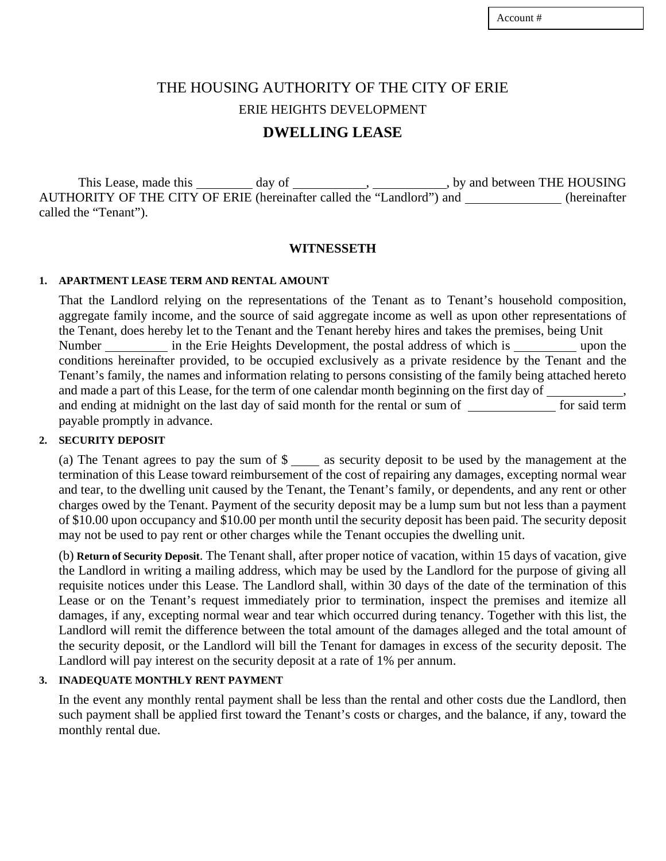# THE HOUSING AUTHORITY OF THE CITY OF ERIE ERIE HEIGHTS DEVELOPMENT **DWELLING LEASE**

This Lease, made this \_\_\_\_\_\_\_\_\_\_ day of \_\_\_\_\_\_\_\_\_\_\_\_\_\_, \_\_\_\_\_\_\_\_\_\_\_\_, by and between THE HOUSING AUTHORITY OF THE CITY OF ERIE (hereinafter called the "Landlord") and \_\_\_\_\_\_\_\_\_\_\_\_\_\_(hereinafter called the "Tenant").

#### **WITNESSETH**

#### **1. APARTMENT LEASE TERM AND RENTAL AMOUNT**

That the Landlord relying on the representations of the Tenant as to Tenant's household composition, aggregate family income, and the source of said aggregate income as well as upon other representations of the Tenant, does hereby let to the Tenant and the Tenant hereby hires and takes the premises, being Unit Number in the Erie Heights Development, the postal address of which is upon the conditions hereinafter provided, to be occupied exclusively as a private residence by the Tenant and the Tenant's family, the names and information relating to persons consisting of the family being attached hereto and made a part of this Lease, for the term of one calendar month beginning on the first day of and ending at midnight on the last day of said month for the rental or sum of form said term payable promptly in advance.

#### **2. SECURITY DEPOSIT**

(a) The Tenant agrees to pay the sum of  $\gamma$  as security deposit to be used by the management at the termination of this Lease toward reimbursement of the cost of repairing any damages, excepting normal wear and tear, to the dwelling unit caused by the Tenant, the Tenant's family, or dependents, and any rent or other charges owed by the Tenant. Payment of the security deposit may be a lump sum but not less than a payment of \$10.00 upon occupancy and \$10.00 per month until the security deposit has been paid. The security deposit may not be used to pay rent or other charges while the Tenant occupies the dwelling unit.

(b) **Return of Security Deposit**. The Tenant shall, after proper notice of vacation, within 15 days of vacation, give the Landlord in writing a mailing address, which may be used by the Landlord for the purpose of giving all requisite notices under this Lease. The Landlord shall, within 30 days of the date of the termination of this Lease or on the Tenant's request immediately prior to termination, inspect the premises and itemize all damages, if any, excepting normal wear and tear which occurred during tenancy. Together with this list, the Landlord will remit the difference between the total amount of the damages alleged and the total amount of the security deposit, or the Landlord will bill the Tenant for damages in excess of the security deposit. The Landlord will pay interest on the security deposit at a rate of 1% per annum.

#### **3. INADEQUATE MONTHLY RENT PAYMENT**

In the event any monthly rental payment shall be less than the rental and other costs due the Landlord, then such payment shall be applied first toward the Tenant's costs or charges, and the balance, if any, toward the monthly rental due.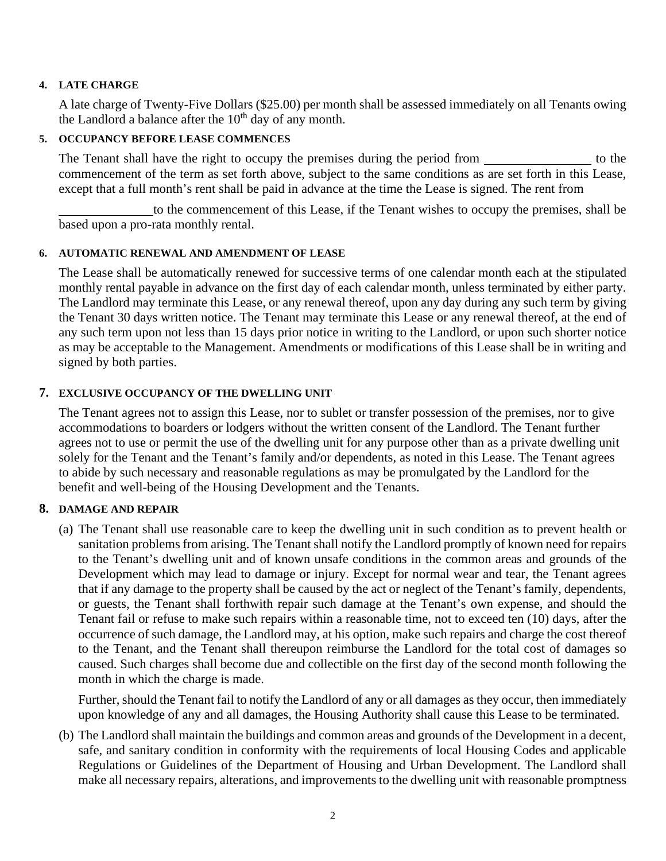#### **4. LATE CHARGE**

A late charge of Twenty-Five Dollars (\$25.00) per month shall be assessed immediately on all Tenants owing the Landlord a balance after the  $10<sup>th</sup>$  day of any month.

### **5. OCCUPANCY BEFORE LEASE COMMENCES**

The Tenant shall have the right to occupy the premises during the period from the state of the to the commencement of the term as set forth above, subject to the same conditions as are set forth in this Lease, except that a full month's rent shall be paid in advance at the time the Lease is signed. The rent from

 to the commencement of this Lease, if the Tenant wishes to occupy the premises, shall be based upon a pro-rata monthly rental.

### **6. AUTOMATIC RENEWAL AND AMENDMENT OF LEASE**

The Lease shall be automatically renewed for successive terms of one calendar month each at the stipulated monthly rental payable in advance on the first day of each calendar month, unless terminated by either party. The Landlord may terminate this Lease, or any renewal thereof, upon any day during any such term by giving the Tenant 30 days written notice. The Tenant may terminate this Lease or any renewal thereof, at the end of any such term upon not less than 15 days prior notice in writing to the Landlord, or upon such shorter notice as may be acceptable to the Management. Amendments or modifications of this Lease shall be in writing and signed by both parties.

### **7. EXCLUSIVE OCCUPANCY OF THE DWELLING UNIT**

The Tenant agrees not to assign this Lease, nor to sublet or transfer possession of the premises, nor to give accommodations to boarders or lodgers without the written consent of the Landlord. The Tenant further agrees not to use or permit the use of the dwelling unit for any purpose other than as a private dwelling unit solely for the Tenant and the Tenant's family and/or dependents, as noted in this Lease. The Tenant agrees to abide by such necessary and reasonable regulations as may be promulgated by the Landlord for the benefit and well-being of the Housing Development and the Tenants.

#### **8. DAMAGE AND REPAIR**

(a) The Tenant shall use reasonable care to keep the dwelling unit in such condition as to prevent health or sanitation problems from arising. The Tenant shall notify the Landlord promptly of known need for repairs to the Tenant's dwelling unit and of known unsafe conditions in the common areas and grounds of the Development which may lead to damage or injury. Except for normal wear and tear, the Tenant agrees that if any damage to the property shall be caused by the act or neglect of the Tenant's family, dependents, or guests, the Tenant shall forthwith repair such damage at the Tenant's own expense, and should the Tenant fail or refuse to make such repairs within a reasonable time, not to exceed ten (10) days, after the occurrence of such damage, the Landlord may, at his option, make such repairs and charge the cost thereof to the Tenant, and the Tenant shall thereupon reimburse the Landlord for the total cost of damages so caused. Such charges shall become due and collectible on the first day of the second month following the month in which the charge is made.

Further, should the Tenant fail to notify the Landlord of any or all damages as they occur, then immediately upon knowledge of any and all damages, the Housing Authority shall cause this Lease to be terminated.

(b) The Landlord shall maintain the buildings and common areas and grounds of the Development in a decent, safe, and sanitary condition in conformity with the requirements of local Housing Codes and applicable Regulations or Guidelines of the Department of Housing and Urban Development. The Landlord shall make all necessary repairs, alterations, and improvements to the dwelling unit with reasonable promptness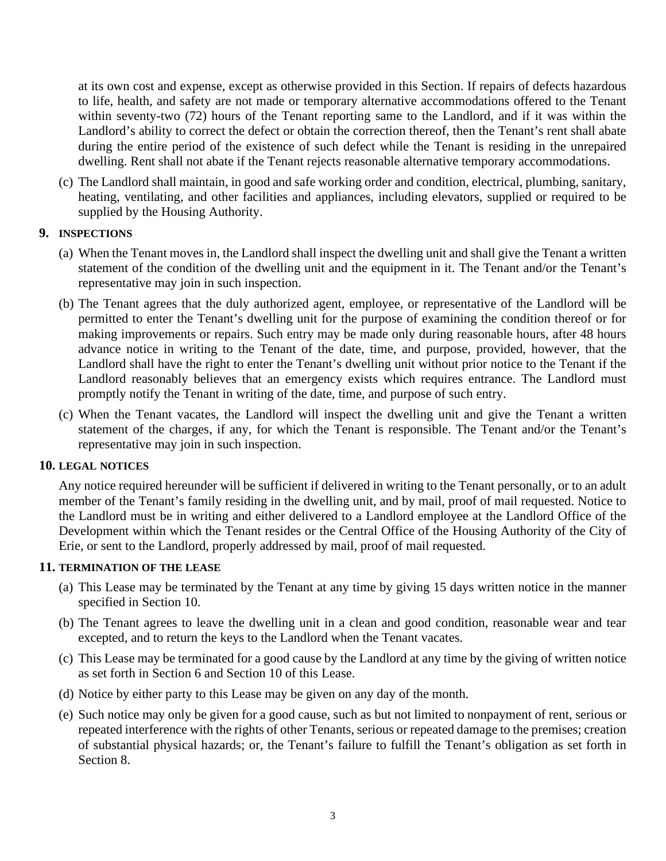at its own cost and expense, except as otherwise provided in this Section. If repairs of defects hazardous to life, health, and safety are not made or temporary alternative accommodations offered to the Tenant within seventy-two (72) hours of the Tenant reporting same to the Landlord, and if it was within the Landlord's ability to correct the defect or obtain the correction thereof, then the Tenant's rent shall abate during the entire period of the existence of such defect while the Tenant is residing in the unrepaired dwelling. Rent shall not abate if the Tenant rejects reasonable alternative temporary accommodations.

(c) The Landlord shall maintain, in good and safe working order and condition, electrical, plumbing, sanitary, heating, ventilating, and other facilities and appliances, including elevators, supplied or required to be supplied by the Housing Authority.

### **9. INSPECTIONS**

- (a) When the Tenant moves in, the Landlord shall inspect the dwelling unit and shall give the Tenant a written statement of the condition of the dwelling unit and the equipment in it. The Tenant and/or the Tenant's representative may join in such inspection.
- (b) The Tenant agrees that the duly authorized agent, employee, or representative of the Landlord will be permitted to enter the Tenant's dwelling unit for the purpose of examining the condition thereof or for making improvements or repairs. Such entry may be made only during reasonable hours, after 48 hours advance notice in writing to the Tenant of the date, time, and purpose, provided, however, that the Landlord shall have the right to enter the Tenant's dwelling unit without prior notice to the Tenant if the Landlord reasonably believes that an emergency exists which requires entrance. The Landlord must promptly notify the Tenant in writing of the date, time, and purpose of such entry.
- (c) When the Tenant vacates, the Landlord will inspect the dwelling unit and give the Tenant a written statement of the charges, if any, for which the Tenant is responsible. The Tenant and/or the Tenant's representative may join in such inspection.

#### **10. LEGAL NOTICES**

Any notice required hereunder will be sufficient if delivered in writing to the Tenant personally, or to an adult member of the Tenant's family residing in the dwelling unit, and by mail, proof of mail requested. Notice to the Landlord must be in writing and either delivered to a Landlord employee at the Landlord Office of the Development within which the Tenant resides or the Central Office of the Housing Authority of the City of Erie, or sent to the Landlord, properly addressed by mail, proof of mail requested.

#### **11. TERMINATION OF THE LEASE**

- (a) This Lease may be terminated by the Tenant at any time by giving 15 days written notice in the manner specified in Section 10.
- (b) The Tenant agrees to leave the dwelling unit in a clean and good condition, reasonable wear and tear excepted, and to return the keys to the Landlord when the Tenant vacates.
- (c) This Lease may be terminated for a good cause by the Landlord at any time by the giving of written notice as set forth in Section 6 and Section 10 of this Lease.
- (d) Notice by either party to this Lease may be given on any day of the month.
- (e) Such notice may only be given for a good cause, such as but not limited to nonpayment of rent, serious or repeated interference with the rights of other Tenants, serious or repeated damage to the premises; creation of substantial physical hazards; or, the Tenant's failure to fulfill the Tenant's obligation as set forth in Section 8.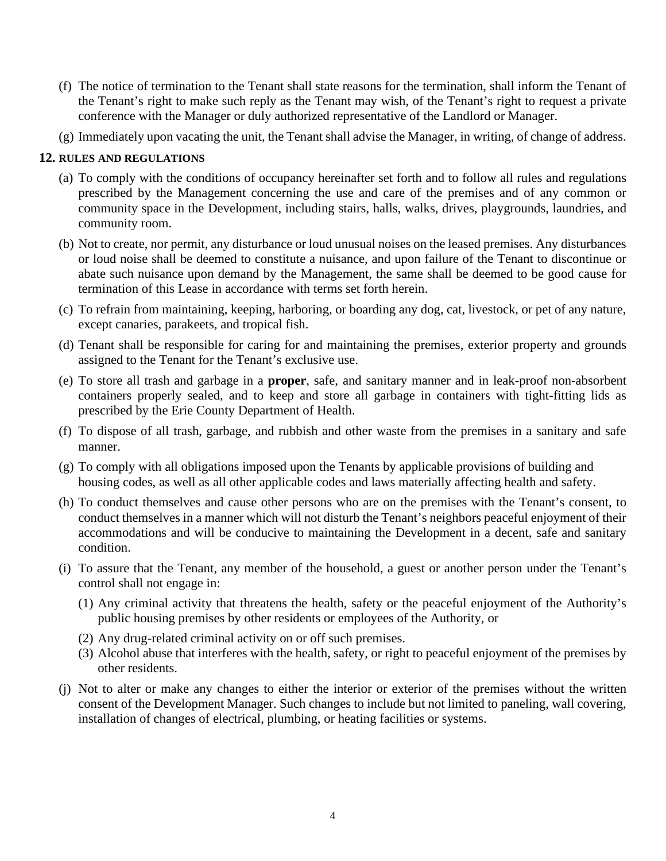- (f) The notice of termination to the Tenant shall state reasons for the termination, shall inform the Tenant of the Tenant's right to make such reply as the Tenant may wish, of the Tenant's right to request a private conference with the Manager or duly authorized representative of the Landlord or Manager.
- (g) Immediately upon vacating the unit, the Tenant shall advise the Manager, in writing, of change of address.

### **12. RULES AND REGULATIONS**

- (a) To comply with the conditions of occupancy hereinafter set forth and to follow all rules and regulations prescribed by the Management concerning the use and care of the premises and of any common or community space in the Development, including stairs, halls, walks, drives, playgrounds, laundries, and community room.
- (b) Not to create, nor permit, any disturbance or loud unusual noises on the leased premises. Any disturbances or loud noise shall be deemed to constitute a nuisance, and upon failure of the Tenant to discontinue or abate such nuisance upon demand by the Management, the same shall be deemed to be good cause for termination of this Lease in accordance with terms set forth herein.
- (c) To refrain from maintaining, keeping, harboring, or boarding any dog, cat, livestock, or pet of any nature, except canaries, parakeets, and tropical fish.
- (d) Tenant shall be responsible for caring for and maintaining the premises, exterior property and grounds assigned to the Tenant for the Tenant's exclusive use.
- (e) To store all trash and garbage in a **proper**, safe, and sanitary manner and in leak-proof non-absorbent containers properly sealed, and to keep and store all garbage in containers with tight-fitting lids as prescribed by the Erie County Department of Health.
- (f) To dispose of all trash, garbage, and rubbish and other waste from the premises in a sanitary and safe manner.
- (g) To comply with all obligations imposed upon the Tenants by applicable provisions of building and housing codes, as well as all other applicable codes and laws materially affecting health and safety.
- (h) To conduct themselves and cause other persons who are on the premises with the Tenant's consent, to conduct themselves in a manner which will not disturb the Tenant's neighbors peaceful enjoyment of their accommodations and will be conducive to maintaining the Development in a decent, safe and sanitary condition.
- (i) To assure that the Tenant, any member of the household, a guest or another person under the Tenant's control shall not engage in:
	- (1) Any criminal activity that threatens the health, safety or the peaceful enjoyment of the Authority's public housing premises by other residents or employees of the Authority, or
	- (2) Any drug-related criminal activity on or off such premises.
	- (3) Alcohol abuse that interferes with the health, safety, or right to peaceful enjoyment of the premises by other residents.
- (j) Not to alter or make any changes to either the interior or exterior of the premises without the written consent of the Development Manager. Such changes to include but not limited to paneling, wall covering, installation of changes of electrical, plumbing, or heating facilities or systems.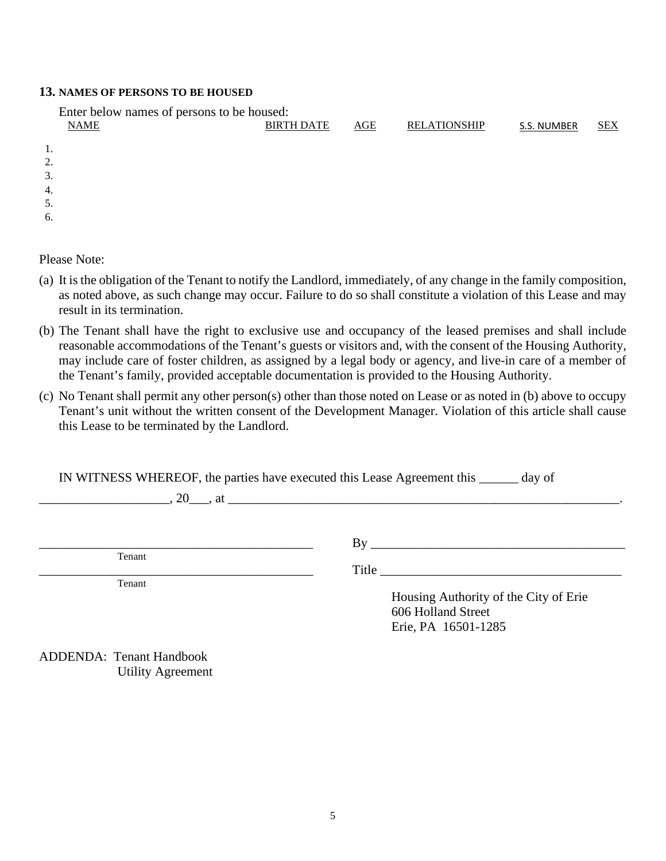#### **13. NAMES OF PERSONS TO BE HOUSED**

| Enter below names of persons to be housed: |                   |     |                     |             |            |
|--------------------------------------------|-------------------|-----|---------------------|-------------|------------|
| <b>NAME</b>                                | <b>BIRTH DATE</b> | AGE | <b>RELATIONSHIP</b> | S.S. NUMBER | <b>SEX</b> |
|                                            |                   |     |                     |             |            |
| 1.                                         |                   |     |                     |             |            |
| 2.                                         |                   |     |                     |             |            |
| 3.                                         |                   |     |                     |             |            |
| $\overline{4}$ .                           |                   |     |                     |             |            |
| 5.                                         |                   |     |                     |             |            |
| 6.                                         |                   |     |                     |             |            |
|                                            |                   |     |                     |             |            |

Please Note:

- (a) It is the obligation of the Tenant to notify the Landlord, immediately, of any change in the family composition, as noted above, as such change may occur. Failure to do so shall constitute a violation of this Lease and may result in its termination.
- (b) The Tenant shall have the right to exclusive use and occupancy of the leased premises and shall include reasonable accommodations of the Tenant's guests or visitors and, with the consent of the Housing Authority, may include care of foster children, as assigned by a legal body or agency, and live-in care of a member of the Tenant's family, provided acceptable documentation is provided to the Housing Authority.
- (c) No Tenant shall permit any other person(s) other than those noted on Lease or as noted in (b) above to occupy Tenant's unit without the written consent of the Development Manager. Violation of this article shall cause this Lease to be terminated by the Landlord.

IN WITNESS WHEREOF, the parties have executed this Lease Agreement this \_\_\_\_\_\_ day of

 $\lambda$ , 20  $\lambda$  , at

Tenant

Tenant

 $\qquad \qquad \text{By} \qquad \qquad \qquad \qquad \text{By}$ 

Title <u>suitant</u>

Housing Authority of the City of Erie 606 Holland Street Erie, PA 16501-1285

ADDENDA: Tenant Handbook Utility Agreement